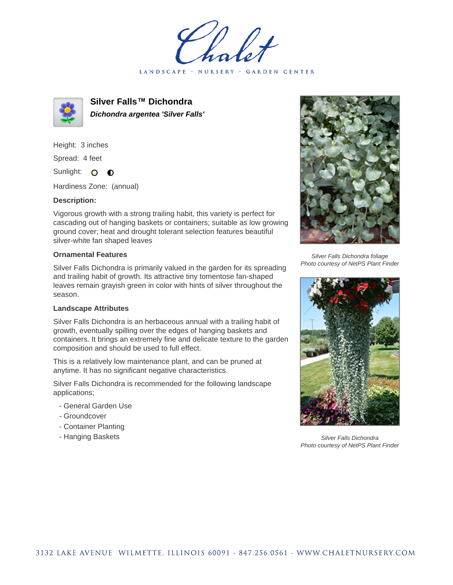LANDSCAPE · NURSERY · GARDEN CENTER



**Silver Falls™ Dichondra Dichondra argentea 'Silver Falls'**

Height: 3 inches Spread: 4 feet

Sunlight: O  $\bullet$ 

Hardiness Zone: (annual)

## **Description:**

Vigorous growth with a strong trailing habit, this variety is perfect for cascading out of hanging baskets or containers; suitable as low growing ground cover; heat and drought tolerant selection features beautiful silver-white fan shaped leaves

## **Ornamental Features**

Silver Falls Dichondra is primarily valued in the garden for its spreading and trailing habit of growth. Its attractive tiny tomentose fan-shaped leaves remain grayish green in color with hints of silver throughout the season.

## **Landscape Attributes**

Silver Falls Dichondra is an herbaceous annual with a trailing habit of growth, eventually spilling over the edges of hanging baskets and containers. It brings an extremely fine and delicate texture to the garden composition and should be used to full effect.

This is a relatively low maintenance plant, and can be pruned at anytime. It has no significant negative characteristics.

Silver Falls Dichondra is recommended for the following landscape applications;

- General Garden Use
- Groundcover
- Container Planting
- Hanging Baskets



Silver Falls Dichondra foliage Photo courtesy of NetPS Plant Finder



Silver Falls Dichondra Photo courtesy of NetPS Plant Finder